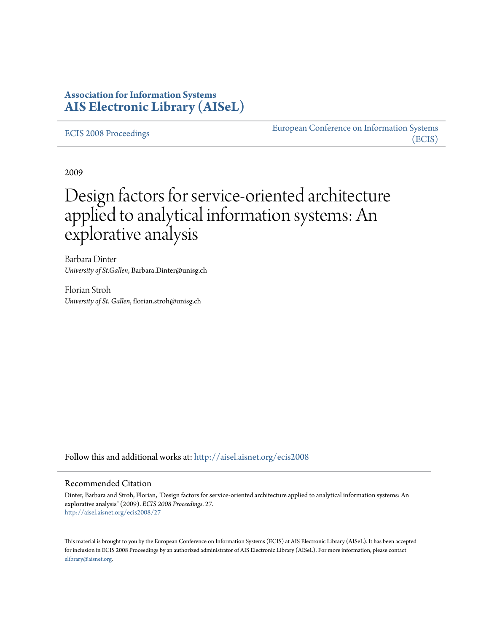## **Association for Information Systems [AIS Electronic Library \(AISeL\)](http://aisel.aisnet.org?utm_source=aisel.aisnet.org%2Fecis2008%2F27&utm_medium=PDF&utm_campaign=PDFCoverPages)**

#### [ECIS 2008 Proceedings](http://aisel.aisnet.org/ecis2008?utm_source=aisel.aisnet.org%2Fecis2008%2F27&utm_medium=PDF&utm_campaign=PDFCoverPages)

[European Conference on Information Systems](http://aisel.aisnet.org/ecis?utm_source=aisel.aisnet.org%2Fecis2008%2F27&utm_medium=PDF&utm_campaign=PDFCoverPages) [\(ECIS\)](http://aisel.aisnet.org/ecis?utm_source=aisel.aisnet.org%2Fecis2008%2F27&utm_medium=PDF&utm_campaign=PDFCoverPages)

2009

# Design factors for service-oriented architecture applied to analytical information systems: An explorative analysis

Barbara Dinter *University of St.Gallen*, Barbara.Dinter@unisg.ch

Florian Stroh *University of St. Gallen*, florian.stroh@unisg.ch

Follow this and additional works at: [http://aisel.aisnet.org/ecis2008](http://aisel.aisnet.org/ecis2008?utm_source=aisel.aisnet.org%2Fecis2008%2F27&utm_medium=PDF&utm_campaign=PDFCoverPages)

#### Recommended Citation

Dinter, Barbara and Stroh, Florian, "Design factors for service-oriented architecture applied to analytical information systems: An explorative analysis" (2009). *ECIS 2008 Proceedings*. 27. [http://aisel.aisnet.org/ecis2008/27](http://aisel.aisnet.org/ecis2008/27?utm_source=aisel.aisnet.org%2Fecis2008%2F27&utm_medium=PDF&utm_campaign=PDFCoverPages)

This material is brought to you by the European Conference on Information Systems (ECIS) at AIS Electronic Library (AISeL). It has been accepted for inclusion in ECIS 2008 Proceedings by an authorized administrator of AIS Electronic Library (AISeL). For more information, please contact [elibrary@aisnet.org.](mailto:elibrary@aisnet.org%3E)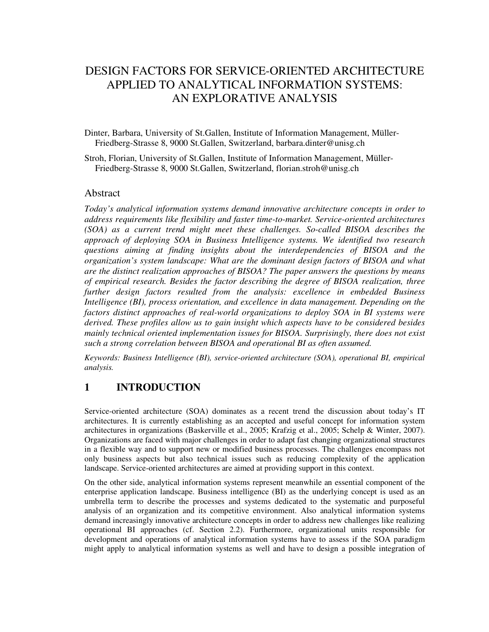# DESIGN FACTORS FOR SERVICE-ORIENTED ARCHITECTURE APPLIED TO ANALYTICAL INFORMATION SYSTEMS: AN EXPLORATIVE ANALYSIS

Dinter, Barbara, University of St.Gallen, Institute of Information Management, Müller-Friedberg-Strasse 8, 9000 St.Gallen, Switzerland, barbara.dinter@unisg.ch

Stroh, Florian, University of St.Gallen, Institute of Information Management, Müller-Friedberg-Strasse 8, 9000 St.Gallen, Switzerland, florian.stroh@unisg.ch

#### Abstract

*Today's analytical information systems demand innovative architecture concepts in order to address requirements like flexibility and faster time-to-market. Service-oriented architectures (SOA) as a current trend might meet these challenges. So-called BISOA describes the approach of deploying SOA in Business Intelligence systems. We identified two research questions aiming at finding insights about the interdependencies of BISOA and the organization's system landscape: What are the dominant design factors of BISOA and what are the distinct realization approaches of BISOA? The paper answers the questions by means of empirical research. Besides the factor describing the degree of BISOA realization, three further design factors resulted from the analysis: excellence in embedded Business Intelligence (BI), process orientation, and excellence in data management. Depending on the factors distinct approaches of real-world organizations to deploy SOA in BI systems were derived. These profiles allow us to gain insight which aspects have to be considered besides mainly technical oriented implementation issues for BISOA. Surprisingly, there does not exist such a strong correlation between BISOA and operational BI as often assumed.* 

*Keywords: Business Intelligence (BI), service-oriented architecture (SOA), operational BI, empirical analysis.* 

## **1 INTRODUCTION**

Service-oriented architecture (SOA) dominates as a recent trend the discussion about today's IT architectures. It is currently establishing as an accepted and useful concept for information system architectures in organizations (Baskerville et al., 2005; Krafzig et al., 2005; Schelp & Winter, 2007). Organizations are faced with major challenges in order to adapt fast changing organizational structures in a flexible way and to support new or modified business processes. The challenges encompass not only business aspects but also technical issues such as reducing complexity of the application landscape. Service-oriented architectures are aimed at providing support in this context.

On the other side, analytical information systems represent meanwhile an essential component of the enterprise application landscape. Business intelligence (BI) as the underlying concept is used as an umbrella term to describe the processes and systems dedicated to the systematic and purposeful analysis of an organization and its competitive environment. Also analytical information systems demand increasingly innovative architecture concepts in order to address new challenges like realizing operational BI approaches (cf. Section 2.2). Furthermore, organizational units responsible for development and operations of analytical information systems have to assess if the SOA paradigm might apply to analytical information systems as well and have to design a possible integration of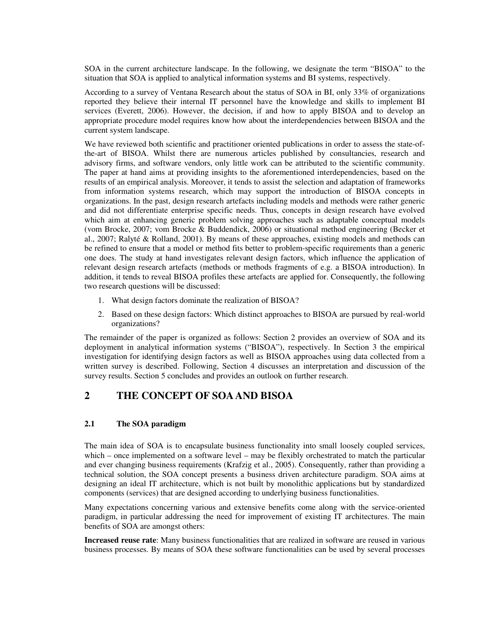SOA in the current architecture landscape. In the following, we designate the term "BISOA" to the situation that SOA is applied to analytical information systems and BI systems, respectively.

According to a survey of Ventana Research about the status of SOA in BI, only 33% of organizations reported they believe their internal IT personnel have the knowledge and skills to implement BI services (Everett, 2006). However, the decision, if and how to apply BISOA and to develop an appropriate procedure model requires know how about the interdependencies between BISOA and the current system landscape.

We have reviewed both scientific and practitioner oriented publications in order to assess the state-ofthe-art of BISOA. Whilst there are numerous articles published by consultancies, research and advisory firms, and software vendors, only little work can be attributed to the scientific community. The paper at hand aims at providing insights to the aforementioned interdependencies, based on the results of an empirical analysis. Moreover, it tends to assist the selection and adaptation of frameworks from information systems research, which may support the introduction of BISOA concepts in organizations. In the past, design research artefacts including models and methods were rather generic and did not differentiate enterprise specific needs. Thus, concepts in design research have evolved which aim at enhancing generic problem solving approaches such as adaptable conceptual models (vom Brocke, 2007; vom Brocke & Buddendick, 2006) or situational method engineering (Becker et al., 2007; Ralyté & Rolland, 2001). By means of these approaches, existing models and methods can be refined to ensure that a model or method fits better to problem-specific requirements than a generic one does. The study at hand investigates relevant design factors, which influence the application of relevant design research artefacts (methods or methods fragments of e.g. a BISOA introduction). In addition, it tends to reveal BISOA profiles these artefacts are applied for. Consequently, the following two research questions will be discussed:

- 1. What design factors dominate the realization of BISOA?
- 2. Based on these design factors: Which distinct approaches to BISOA are pursued by real-world organizations?

The remainder of the paper is organized as follows: Section 2 provides an overview of SOA and its deployment in analytical information systems ("BISOA"), respectively. In Section 3 the empirical investigation for identifying design factors as well as BISOA approaches using data collected from a written survey is described. Following, Section 4 discusses an interpretation and discussion of the survey results. Section 5 concludes and provides an outlook on further research.

## **2 THE CONCEPT OF SOA AND BISOA**

#### **2.1 The SOA paradigm**

The main idea of SOA is to encapsulate business functionality into small loosely coupled services, which – once implemented on a software level – may be flexibly orchestrated to match the particular and ever changing business requirements (Krafzig et al., 2005). Consequently, rather than providing a technical solution, the SOA concept presents a business driven architecture paradigm. SOA aims at designing an ideal IT architecture, which is not built by monolithic applications but by standardized components (services) that are designed according to underlying business functionalities.

Many expectations concerning various and extensive benefits come along with the service-oriented paradigm, in particular addressing the need for improvement of existing IT architectures. The main benefits of SOA are amongst others:

**Increased reuse rate**: Many business functionalities that are realized in software are reused in various business processes. By means of SOA these software functionalities can be used by several processes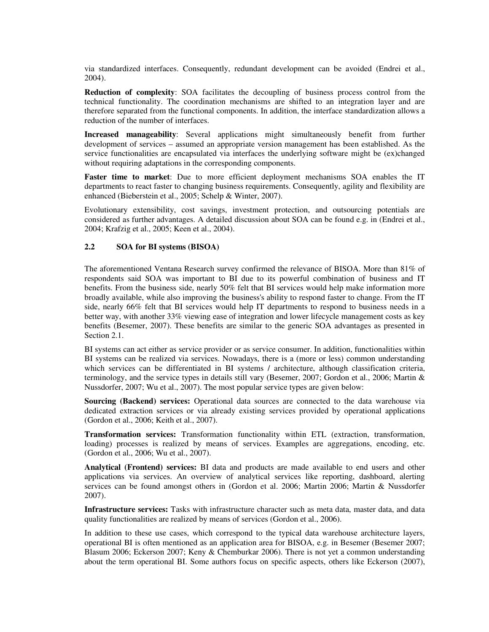via standardized interfaces. Consequently, redundant development can be avoided (Endrei et al., 2004).

**Reduction of complexity**: SOA facilitates the decoupling of business process control from the technical functionality. The coordination mechanisms are shifted to an integration layer and are therefore separated from the functional components. In addition, the interface standardization allows a reduction of the number of interfaces.

**Increased manageability**: Several applications might simultaneously benefit from further development of services – assumed an appropriate version management has been established. As the service functionalities are encapsulated via interfaces the underlying software might be (ex)changed without requiring adaptations in the corresponding components.

**Faster time to market**: Due to more efficient deployment mechanisms SOA enables the IT departments to react faster to changing business requirements. Consequently, agility and flexibility are enhanced (Bieberstein et al., 2005; Schelp & Winter, 2007).

Evolutionary extensibility, cost savings, investment protection, and outsourcing potentials are considered as further advantages. A detailed discussion about SOA can be found e.g. in (Endrei et al., 2004; Krafzig et al., 2005; Keen et al., 2004).

#### **2.2 SOA for BI systems (BISOA)**

The aforementioned Ventana Research survey confirmed the relevance of BISOA. More than 81% of respondents said SOA was important to BI due to its powerful combination of business and IT benefits. From the business side, nearly 50% felt that BI services would help make information more broadly available, while also improving the business's ability to respond faster to change. From the IT side, nearly 66% felt that BI services would help IT departments to respond to business needs in a better way, with another 33% viewing ease of integration and lower lifecycle management costs as key benefits (Besemer, 2007). These benefits are similar to the generic SOA advantages as presented in Section 2.1.

BI systems can act either as service provider or as service consumer. In addition, functionalities within BI systems can be realized via services. Nowadays, there is a (more or less) common understanding which services can be differentiated in BI systems / architecture, although classification criteria, terminology, and the service types in details still vary (Besemer, 2007; Gordon et al., 2006; Martin & Nussdorfer, 2007; Wu et al., 2007). The most popular service types are given below:

**Sourcing (Backend) services:** Operational data sources are connected to the data warehouse via dedicated extraction services or via already existing services provided by operational applications (Gordon et al., 2006; Keith et al., 2007).

**Transformation services:** Transformation functionality within ETL (extraction, transformation, loading) processes is realized by means of services. Examples are aggregations, encoding, etc. (Gordon et al., 2006; Wu et al., 2007).

**Analytical (Frontend) services:** BI data and products are made available to end users and other applications via services. An overview of analytical services like reporting, dashboard, alerting services can be found amongst others in (Gordon et al. 2006; Martin 2006; Martin & Nussdorfer 2007).

**Infrastructure services:** Tasks with infrastructure character such as meta data, master data, and data quality functionalities are realized by means of services (Gordon et al., 2006).

In addition to these use cases, which correspond to the typical data warehouse architecture layers, operational BI is often mentioned as an application area for BISOA, e.g. in Besemer (Besemer 2007; Blasum 2006; Eckerson 2007; Keny & Chemburkar 2006). There is not yet a common understanding about the term operational BI. Some authors focus on specific aspects, others like Eckerson (2007),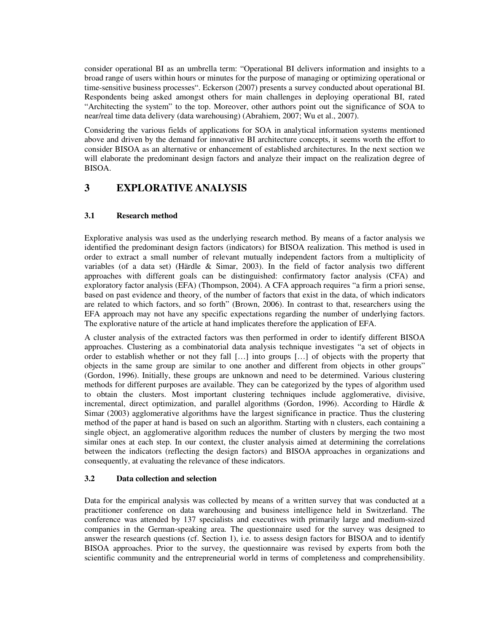consider operational BI as an umbrella term: "Operational BI delivers information and insights to a broad range of users within hours or minutes for the purpose of managing or optimizing operational or time-sensitive business processes". Eckerson (2007) presents a survey conducted about operational BI. Respondents being asked amongst others for main challenges in deploying operational BI, rated "Architecting the system" to the top. Moreover, other authors point out the significance of SOA to near/real time data delivery (data warehousing) (Abrahiem, 2007; Wu et al., 2007).

Considering the various fields of applications for SOA in analytical information systems mentioned above and driven by the demand for innovative BI architecture concepts, it seems worth the effort to consider BISOA as an alternative or enhancement of established architectures. In the next section we will elaborate the predominant design factors and analyze their impact on the realization degree of BISOA.

## **3 EXPLORATIVE ANALYSIS**

#### **3.1 Research method**

Explorative analysis was used as the underlying research method. By means of a factor analysis we identified the predominant design factors (indicators) for BISOA realization. This method is used in order to extract a small number of relevant mutually independent factors from a multiplicity of variables (of a data set) (Härdle & Simar, 2003). In the field of factor analysis two different approaches with different goals can be distinguished: confirmatory factor analysis (CFA) and exploratory factor analysis (EFA) (Thompson, 2004). A CFA approach requires "a firm a priori sense, based on past evidence and theory, of the number of factors that exist in the data, of which indicators are related to which factors, and so forth" (Brown, 2006). In contrast to that, researchers using the EFA approach may not have any specific expectations regarding the number of underlying factors. The explorative nature of the article at hand implicates therefore the application of EFA.

A cluster analysis of the extracted factors was then performed in order to identify different BISOA approaches. Clustering as a combinatorial data analysis technique investigates "a set of objects in order to establish whether or not they fall […] into groups […] of objects with the property that objects in the same group are similar to one another and different from objects in other groups" (Gordon, 1996). Initially, these groups are unknown and need to be determined. Various clustering methods for different purposes are available. They can be categorized by the types of algorithm used to obtain the clusters. Most important clustering techniques include agglomerative, divisive, incremental, direct optimization, and parallel algorithms (Gordon, 1996). According to Härdle & Simar (2003) agglomerative algorithms have the largest significance in practice. Thus the clustering method of the paper at hand is based on such an algorithm. Starting with n clusters, each containing a single object, an agglomerative algorithm reduces the number of clusters by merging the two most similar ones at each step. In our context, the cluster analysis aimed at determining the correlations between the indicators (reflecting the design factors) and BISOA approaches in organizations and consequently, at evaluating the relevance of these indicators.

#### **3.2 Data collection and selection**

Data for the empirical analysis was collected by means of a written survey that was conducted at a practitioner conference on data warehousing and business intelligence held in Switzerland. The conference was attended by 137 specialists and executives with primarily large and medium-sized companies in the German-speaking area. The questionnaire used for the survey was designed to answer the research questions (cf. Section 1), i.e. to assess design factors for BISOA and to identify BISOA approaches. Prior to the survey, the questionnaire was revised by experts from both the scientific community and the entrepreneurial world in terms of completeness and comprehensibility.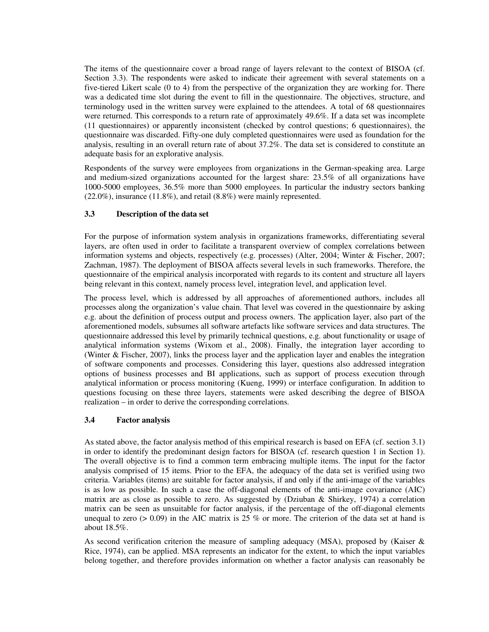The items of the questionnaire cover a broad range of layers relevant to the context of BISOA (cf. Section 3.3). The respondents were asked to indicate their agreement with several statements on a five-tiered Likert scale (0 to 4) from the perspective of the organization they are working for. There was a dedicated time slot during the event to fill in the questionnaire. The objectives, structure, and terminology used in the written survey were explained to the attendees. A total of 68 questionnaires were returned. This corresponds to a return rate of approximately 49.6%. If a data set was incomplete (11 questionnaires) or apparently inconsistent (checked by control questions; 6 questionnaires), the questionnaire was discarded. Fifty-one duly completed questionnaires were used as foundation for the analysis, resulting in an overall return rate of about 37.2%. The data set is considered to constitute an adequate basis for an explorative analysis.

Respondents of the survey were employees from organizations in the German-speaking area. Large and medium-sized organizations accounted for the largest share: 23.5% of all organizations have 1000-5000 employees, 36.5% more than 5000 employees. In particular the industry sectors banking (22.0%), insurance (11.8%), and retail (8.8%) were mainly represented.

#### **3.3 Description of the data set**

For the purpose of information system analysis in organizations frameworks, differentiating several layers, are often used in order to facilitate a transparent overview of complex correlations between information systems and objects, respectively (e.g. processes) (Alter, 2004; Winter & Fischer, 2007; Zachman, 1987). The deployment of BISOA affects several levels in such frameworks. Therefore, the questionnaire of the empirical analysis incorporated with regards to its content and structure all layers being relevant in this context, namely process level, integration level, and application level.

The process level, which is addressed by all approaches of aforementioned authors, includes all processes along the organization's value chain. That level was covered in the questionnaire by asking e.g. about the definition of process output and process owners. The application layer, also part of the aforementioned models, subsumes all software artefacts like software services and data structures. The questionnaire addressed this level by primarily technical questions, e.g. about functionality or usage of analytical information systems (Wixom et al., 2008). Finally, the integration layer according to (Winter & Fischer, 2007), links the process layer and the application layer and enables the integration of software components and processes. Considering this layer, questions also addressed integration options of business processes and BI applications, such as support of process execution through analytical information or process monitoring (Kueng, 1999) or interface configuration. In addition to questions focusing on these three layers, statements were asked describing the degree of BISOA realization – in order to derive the corresponding correlations.

#### **3.4 Factor analysis**

As stated above, the factor analysis method of this empirical research is based on EFA (cf. section 3.1) in order to identify the predominant design factors for BISOA (cf. research question 1 in Section 1). The overall objective is to find a common term embracing multiple items. The input for the factor analysis comprised of 15 items. Prior to the EFA, the adequacy of the data set is verified using two criteria. Variables (items) are suitable for factor analysis, if and only if the anti-image of the variables is as low as possible. In such a case the off-diagonal elements of the anti-image covariance (AIC) matrix are as close as possible to zero. As suggested by (Dziuban & Shirkey, 1974) a correlation matrix can be seen as unsuitable for factor analysis, if the percentage of the off-diagonal elements unequal to zero ( $> 0.09$ ) in the AIC matrix is 25 % or more. The criterion of the data set at hand is about 18.5%.

As second verification criterion the measure of sampling adequacy (MSA), proposed by (Kaiser  $\&$ Rice, 1974), can be applied. MSA represents an indicator for the extent, to which the input variables belong together, and therefore provides information on whether a factor analysis can reasonably be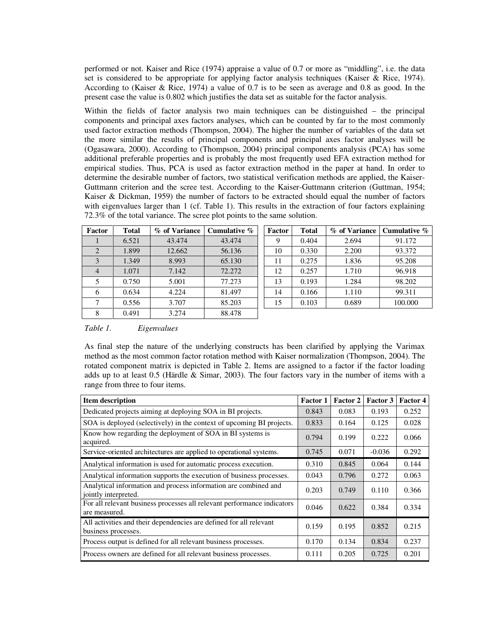performed or not. Kaiser and Rice (1974) appraise a value of 0.7 or more as "middling", i.e. the data set is considered to be appropriate for applying factor analysis techniques (Kaiser & Rice, 1974). According to (Kaiser & Rice, 1974) a value of 0.7 is to be seen as average and 0.8 as good. In the present case the value is 0.802 which justifies the data set as suitable for the factor analysis.

Within the fields of factor analysis two main techniques can be distinguished – the principal components and principal axes factors analyses, which can be counted by far to the most commonly used factor extraction methods (Thompson, 2004). The higher the number of variables of the data set the more similar the results of principal components and principal axes factor analyses will be (Ogasawara, 2000). According to (Thompson, 2004) principal components analysis (PCA) has some additional preferable properties and is probably the most frequently used EFA extraction method for empirical studies. Thus, PCA is used as factor extraction method in the paper at hand. In order to determine the desirable number of factors, two statistical verification methods are applied, the Kaiser-Guttmann criterion and the scree test. According to the Kaiser-Guttmann criterion (Guttman, 1954; Kaiser & Dickman, 1959) the number of factors to be extracted should equal the number of factors with eigenvalues larger than 1 (cf. Table 1). This results in the extraction of four factors explaining 72.3% of the total variance. The scree plot points to the same solution.

| Factor | <b>Total</b> | % of Variance | Cumulative % | Factor | <b>Total</b> | % of Variance | Cumulative % |
|--------|--------------|---------------|--------------|--------|--------------|---------------|--------------|
|        | 6.521        | 43.474        | 43.474       | 9      | 0.404        | 2.694         | 91.172       |
|        | 1.899        | 12.662        | 56.136       | 10     | 0.330        | 2.200         | 93.372       |
| 3      | 1.349        | 8.993         | 65.130       | 11     | 0.275        | 1.836         | 95.208       |
| 4      | 1.071        | 7.142         | 72.272       | 12     | 0.257        | 1.710         | 96.918       |
| 5      | 0.750        | 5.001         | 77.273       | 13     | 0.193        | 1.284         | 98.202       |
| 6      | 0.634        | 4.224         | 81.497       | 14     | 0.166        | 1.110         | 99.311       |
|        | 0.556        | 3.707         | 85.203       | 15     | 0.103        | 0.689         | 100.000      |
| 8      | 0.491        | 3.274         | 88.478       |        |              |               |              |

| Factor | <b>Total</b> | % of Variance | Cumulative $\%$ |
|--------|--------------|---------------|-----------------|
| 9      | 0.404        | 2.694         | 91.172          |
| 10     | 0.330        | 2.200         | 93.372          |
| 11     | 0.275        | 1.836         | 95.208          |
| 12     | 0.257        | 1.710         | 96.918          |
| 13     | 0.193        | 1.284         | 98.202          |
| 14     | 0.166        | 1.110         | 99.311          |
| 15     | 0.103        | 0.689         | 100.000         |

*Table 1. Eigenvalues* 

As final step the nature of the underlying constructs has been clarified by applying the Varimax method as the most common factor rotation method with Kaiser normalization (Thompson, 2004). The rotated component matrix is depicted in Table 2. Items are assigned to a factor if the factor loading adds up to at least 0.5 (Härdle & Simar, 2003). The four factors vary in the number of items with a range from three to four items.

| <b>Item description</b>                                                                   | <b>Factor 1</b> | Factor 2 | Factor 3 | <b>Factor 4</b> |
|-------------------------------------------------------------------------------------------|-----------------|----------|----------|-----------------|
| Dedicated projects aiming at deploying SOA in BI projects.                                | 0.843           | 0.083    | 0.193    | 0.252           |
| SOA is deployed (selectively) in the context of upcoming BI projects.                     | 0.833           | 0.164    | 0.125    | 0.028           |
| Know how regarding the deployment of SOA in BI systems is<br>acquired.                    | 0.794           | 0.199    | 0.222    | 0.066           |
| Service-oriented architectures are applied to operational systems.                        | 0.745           | 0.071    | $-0.036$ | 0.292           |
| Analytical information is used for automatic process execution.                           | 0.310           | 0.845    | 0.064    | 0.144           |
| Analytical information supports the execution of business processes.                      | 0.043           | 0.796    | 0.272    | 0.063           |
| Analytical information and process information are combined and<br>jointly interpreted.   | 0.203           | 0.749    | 0.110    | 0.366           |
| For all relevant business processes all relevant performance indicators<br>are measured.  | 0.046           | 0.622    | 0.384    | 0.334           |
| All activities and their dependencies are defined for all relevant<br>business processes. | 0.159           | 0.195    | 0.852    | 0.215           |
| Process output is defined for all relevant business processes.                            | 0.170           | 0.134    | 0.834    | 0.237           |
| Process owners are defined for all relevant business processes.                           | 0.111           | 0.205    | 0.725    | 0.201           |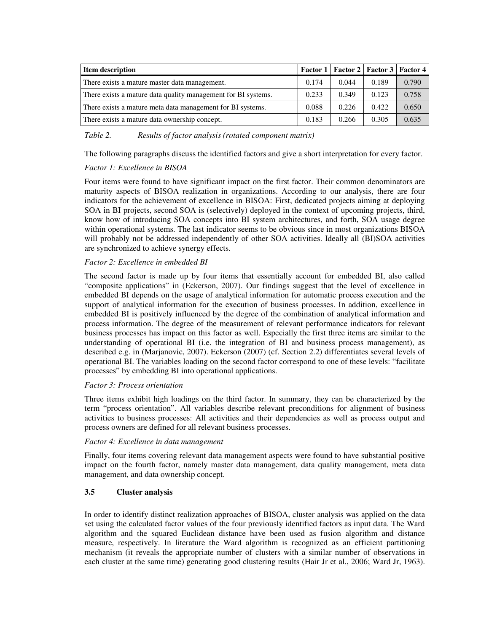| <b>Item description</b>                                       |       |       | Factor 1   Factor 2   Factor 3   Factor 4 |       |
|---------------------------------------------------------------|-------|-------|-------------------------------------------|-------|
| There exists a mature master data management.                 | 0.174 | 0.044 | 0.189                                     | 0.790 |
| There exists a mature data quality management for BI systems. | 0.233 | 0.349 | 0.123                                     | 0.758 |
| There exists a mature meta data management for BI systems.    | 0.088 | 0.226 | 0.422                                     | 0.650 |
| There exists a mature data ownership concept.                 | 0.183 | 0.266 | 0.305                                     | 0.635 |

*Table 2. Results of factor analysis (rotated component matrix)* 

The following paragraphs discuss the identified factors and give a short interpretation for every factor.

#### *Factor 1: Excellence in BISOA*

Four items were found to have significant impact on the first factor. Their common denominators are maturity aspects of BISOA realization in organizations. According to our analysis, there are four indicators for the achievement of excellence in BISOA: First, dedicated projects aiming at deploying SOA in BI projects, second SOA is (selectively) deployed in the context of upcoming projects, third, know how of introducing SOA concepts into BI system architectures, and forth, SOA usage degree within operational systems. The last indicator seems to be obvious since in most organizations BISOA will probably not be addressed independently of other SOA activities. Ideally all (BI)SOA activities are synchronized to achieve synergy effects.

#### *Factor 2: Excellence in embedded BI*

The second factor is made up by four items that essentially account for embedded BI, also called "composite applications" in (Eckerson, 2007). Our findings suggest that the level of excellence in embedded BI depends on the usage of analytical information for automatic process execution and the support of analytical information for the execution of business processes. In addition, excellence in embedded BI is positively influenced by the degree of the combination of analytical information and process information. The degree of the measurement of relevant performance indicators for relevant business processes has impact on this factor as well. Especially the first three items are similar to the understanding of operational BI (i.e. the integration of BI and business process management), as described e.g. in (Marjanovic, 2007). Eckerson (2007) (cf. Section 2.2) differentiates several levels of operational BI. The variables loading on the second factor correspond to one of these levels: "facilitate processes" by embedding BI into operational applications.

#### *Factor 3: Process orientation*

Three items exhibit high loadings on the third factor. In summary, they can be characterized by the term "process orientation". All variables describe relevant preconditions for alignment of business activities to business processes: All activities and their dependencies as well as process output and process owners are defined for all relevant business processes.

#### *Factor 4: Excellence in data management*

Finally, four items covering relevant data management aspects were found to have substantial positive impact on the fourth factor, namely master data management, data quality management, meta data management, and data ownership concept.

#### **3.5 Cluster analysis**

In order to identify distinct realization approaches of BISOA, cluster analysis was applied on the data set using the calculated factor values of the four previously identified factors as input data. The Ward algorithm and the squared Euclidean distance have been used as fusion algorithm and distance measure, respectively. In literature the Ward algorithm is recognized as an efficient partitioning mechanism (it reveals the appropriate number of clusters with a similar number of observations in each cluster at the same time) generating good clustering results (Hair Jr et al., 2006; Ward Jr, 1963).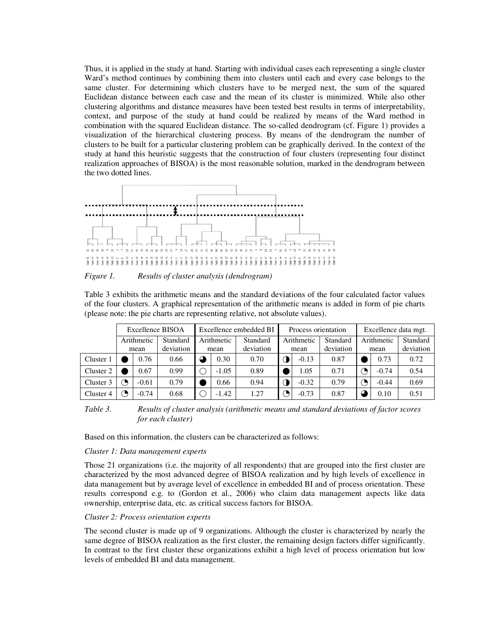Thus, it is applied in the study at hand. Starting with individual cases each representing a single cluster Ward's method continues by combining them into clusters until each and every case belongs to the same cluster. For determining which clusters have to be merged next, the sum of the squared Euclidean distance between each case and the mean of its cluster is minimized. While also other clustering algorithms and distance measures have been tested best results in terms of interpretability, context, and purpose of the study at hand could be realized by means of the Ward method in combination with the squared Euclidean distance. The so-called dendrogram (cf. Figure 1) provides a visualization of the hierarchical clustering process. By means of the dendrogram the number of clusters to be built for a particular clustering problem can be graphically derived. In the context of the study at hand this heuristic suggests that the construction of four clusters (representing four distinct realization approaches of BISOA) is the most reasonable solution, marked in the dendrogram between the two dotted lines.



*Figure 1. Results of cluster analysis (dendrogram)* 

Table 3 exhibits the arithmetic means and the standard deviations of the four calculated factor values of the four clusters. A graphical representation of the arithmetic means is added in form of pie charts (please note: the pie charts are representing relative, not absolute values).

|            | Excellence BISOA |         |           | Excellence embedded BI |         |           | Process orientation |         |           | Excellence data mgt. |         |           |
|------------|------------------|---------|-----------|------------------------|---------|-----------|---------------------|---------|-----------|----------------------|---------|-----------|
| Arithmetic |                  |         | Standard  | Arithmetic             |         | Standard  | Arithmetic          |         | Standard  | Arithmetic           |         | Standard  |
|            |                  | mean    | deviation |                        | mean    | deviation | mean                |         | deviation | mean                 |         | deviation |
| Cluster 1  |                  | 0.76    | 0.66      | $\sigma$               | 0.30    | 0.70      |                     | $-0.13$ | 0.87      |                      | 0.73    | 0.72      |
| Cluster 2  |                  | 0.67    | 0.99      |                        | $-1.05$ | 0.89      |                     | .05     | 0.71      |                      | $-0.74$ | 0.54      |
| Cluster 3  |                  | $-0.61$ | 0.79      |                        | 0.66    | 0.94      |                     | $-0.32$ | 0.79      |                      | $-0.44$ | 0.69      |
| Cluster 4  |                  | $-0.74$ | 0.68      |                        | $-1.42$ | 1.27      |                     | $-0.73$ | 0.87      |                      | 0.10    | 0.51      |

*Table 3. Results of cluster analysis (arithmetic means and standard deviations of factor scores for each cluster)* 

Based on this information, the clusters can be characterized as follows:

#### *Cluster 1: Data management experts*

Those 21 organizations (i.e. the majority of all respondents) that are grouped into the first cluster are characterized by the most advanced degree of BISOA realization and by high levels of excellence in data management but by average level of excellence in embedded BI and of process orientation. These results correspond e.g. to (Gordon et al., 2006) who claim data management aspects like data ownership, enterprise data, etc. as critical success factors for BISOA.

#### *Cluster 2: Process orientation experts*

The second cluster is made up of 9 organizations. Although the cluster is characterized by nearly the same degree of BISOA realization as the first cluster, the remaining design factors differ significantly. In contrast to the first cluster these organizations exhibit a high level of process orientation but low levels of embedded BI and data management.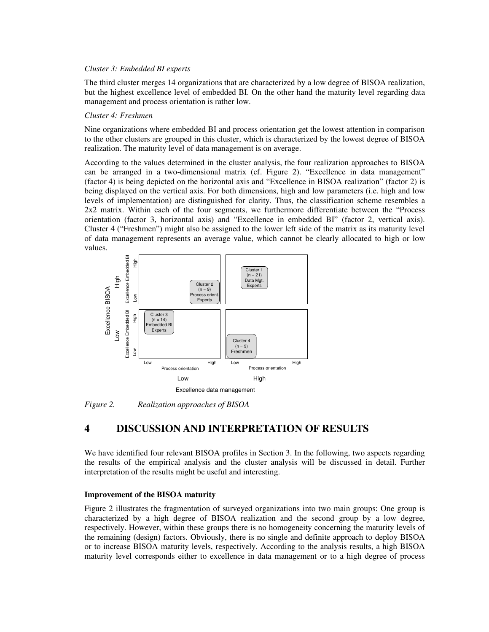#### *Cluster 3: Embedded BI experts*

The third cluster merges 14 organizations that are characterized by a low degree of BISOA realization, but the highest excellence level of embedded BI. On the other hand the maturity level regarding data management and process orientation is rather low.

#### *Cluster 4: Freshmen*

Nine organizations where embedded BI and process orientation get the lowest attention in comparison to the other clusters are grouped in this cluster, which is characterized by the lowest degree of BISOA realization. The maturity level of data management is on average.

According to the values determined in the cluster analysis, the four realization approaches to BISOA can be arranged in a two-dimensional matrix (cf. Figure 2). "Excellence in data management" (factor 4) is being depicted on the horizontal axis and "Excellence in BISOA realization" (factor 2) is being displayed on the vertical axis. For both dimensions, high and low parameters (i.e. high and low levels of implementation) are distinguished for clarity. Thus, the classification scheme resembles a 2x2 matrix. Within each of the four segments, we furthermore differentiate between the "Process orientation (factor 3, horizontal axis) and "Excellence in embedded BI" (factor 2, vertical axis). Cluster 4 ("Freshmen") might also be assigned to the lower left side of the matrix as its maturity level of data management represents an average value, which cannot be clearly allocated to high or low values.



*Figure 2. Realization approaches of BISOA* 

## **4 DISCUSSION AND INTERPRETATION OF RESULTS**

We have identified four relevant BISOA profiles in Section 3. In the following, two aspects regarding the results of the empirical analysis and the cluster analysis will be discussed in detail. Further interpretation of the results might be useful and interesting.

#### **Improvement of the BISOA maturity**

Figure 2 illustrates the fragmentation of surveyed organizations into two main groups: One group is characterized by a high degree of BISOA realization and the second group by a low degree, respectively. However, within these groups there is no homogeneity concerning the maturity levels of the remaining (design) factors. Obviously, there is no single and definite approach to deploy BISOA or to increase BISOA maturity levels, respectively. According to the analysis results, a high BISOA maturity level corresponds either to excellence in data management or to a high degree of process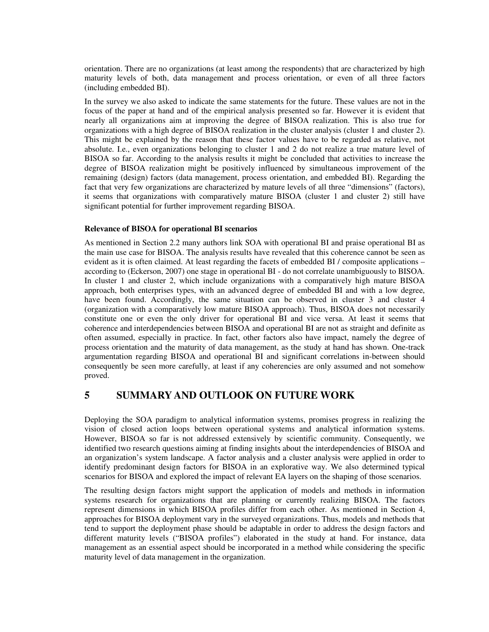orientation. There are no organizations (at least among the respondents) that are characterized by high maturity levels of both, data management and process orientation, or even of all three factors (including embedded BI).

In the survey we also asked to indicate the same statements for the future. These values are not in the focus of the paper at hand and of the empirical analysis presented so far. However it is evident that nearly all organizations aim at improving the degree of BISOA realization. This is also true for organizations with a high degree of BISOA realization in the cluster analysis (cluster 1 and cluster 2). This might be explained by the reason that these factor values have to be regarded as relative, not absolute. I.e., even organizations belonging to cluster 1 and 2 do not realize a true mature level of BISOA so far. According to the analysis results it might be concluded that activities to increase the degree of BISOA realization might be positively influenced by simultaneous improvement of the remaining (design) factors (data management, process orientation, and embedded BI). Regarding the fact that very few organizations are characterized by mature levels of all three "dimensions" (factors), it seems that organizations with comparatively mature BISOA (cluster 1 and cluster 2) still have significant potential for further improvement regarding BISOA.

#### **Relevance of BISOA for operational BI scenarios**

As mentioned in Section 2.2 many authors link SOA with operational BI and praise operational BI as the main use case for BISOA. The analysis results have revealed that this coherence cannot be seen as evident as it is often claimed. At least regarding the facets of embedded BI / composite applications – according to (Eckerson, 2007) one stage in operational BI - do not correlate unambiguously to BISOA. In cluster 1 and cluster 2, which include organizations with a comparatively high mature BISOA approach, both enterprises types, with an advanced degree of embedded BI and with a low degree, have been found. Accordingly, the same situation can be observed in cluster 3 and cluster 4 (organization with a comparatively low mature BISOA approach). Thus, BISOA does not necessarily constitute one or even the only driver for operational BI and vice versa. At least it seems that coherence and interdependencies between BISOA and operational BI are not as straight and definite as often assumed, especially in practice. In fact, other factors also have impact, namely the degree of process orientation and the maturity of data management, as the study at hand has shown. One-track argumentation regarding BISOA and operational BI and significant correlations in-between should consequently be seen more carefully, at least if any coherencies are only assumed and not somehow proved.

### **5 SUMMARY AND OUTLOOK ON FUTURE WORK**

Deploying the SOA paradigm to analytical information systems, promises progress in realizing the vision of closed action loops between operational systems and analytical information systems. However, BISOA so far is not addressed extensively by scientific community. Consequently, we identified two research questions aiming at finding insights about the interdependencies of BISOA and an organization's system landscape. A factor analysis and a cluster analysis were applied in order to identify predominant design factors for BISOA in an explorative way. We also determined typical scenarios for BISOA and explored the impact of relevant EA layers on the shaping of those scenarios.

The resulting design factors might support the application of models and methods in information systems research for organizations that are planning or currently realizing BISOA. The factors represent dimensions in which BISOA profiles differ from each other. As mentioned in Section 4, approaches for BISOA deployment vary in the surveyed organizations. Thus, models and methods that tend to support the deployment phase should be adaptable in order to address the design factors and different maturity levels ("BISOA profiles") elaborated in the study at hand. For instance, data management as an essential aspect should be incorporated in a method while considering the specific maturity level of data management in the organization.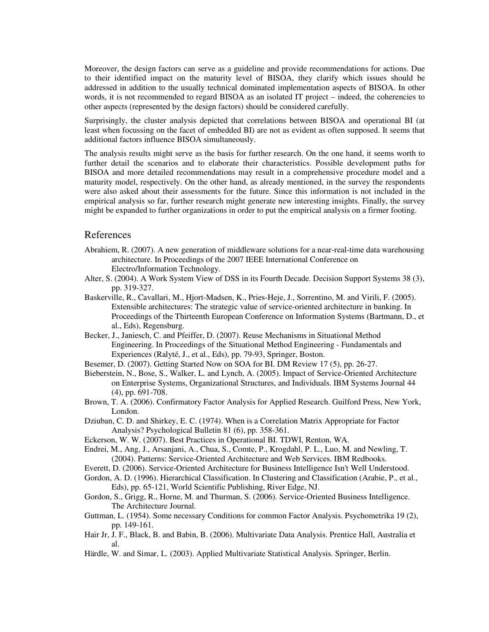Moreover, the design factors can serve as a guideline and provide recommendations for actions. Due to their identified impact on the maturity level of BISOA, they clarify which issues should be addressed in addition to the usually technical dominated implementation aspects of BISOA. In other words, it is not recommended to regard BISOA as an isolated IT project – indeed, the coherencies to other aspects (represented by the design factors) should be considered carefully.

Surprisingly, the cluster analysis depicted that correlations between BISOA and operational BI (at least when focussing on the facet of embedded BI) are not as evident as often supposed. It seems that additional factors influence BISOA simultaneously.

The analysis results might serve as the basis for further research. On the one hand, it seems worth to further detail the scenarios and to elaborate their characteristics. Possible development paths for BISOA and more detailed recommendations may result in a comprehensive procedure model and a maturity model, respectively. On the other hand, as already mentioned, in the survey the respondents were also asked about their assessments for the future. Since this information is not included in the empirical analysis so far, further research might generate new interesting insights. Finally, the survey might be expanded to further organizations in order to put the empirical analysis on a firmer footing.

#### References

- Abrahiem, R. (2007). A new generation of middleware solutions for a near-real-time data warehousing architecture. In Proceedings of the 2007 IEEE International Conference on Electro/Information Technology.
- Alter, S. (2004). A Work System View of DSS in its Fourth Decade. Decision Support Systems 38 (3), pp. 319-327.
- Baskerville, R., Cavallari, M., Hjort-Madsen, K., Pries-Heje, J., Sorrentino, M. and Virili, F. (2005). Extensible architectures: The strategic value of service-oriented architecture in banking. In Proceedings of the Thirteenth European Conference on Information Systems (Bartmann, D., et al., Eds), Regensburg.
- Becker, J., Janiesch, C. and Pfeiffer, D. (2007). Reuse Mechanisms in Situational Method Engineering. In Proceedings of the Situational Method Engineering - Fundamentals and Experiences (Ralyté, J., et al., Eds), pp. 79-93, Springer, Boston.
- Besemer, D. (2007). Getting Started Now on SOA for BI. DM Review 17 (5), pp. 26-27.
- Bieberstein, N., Bose, S., Walker, L. and Lynch, A. (2005). Impact of Service-Oriented Architecture on Enterprise Systems, Organizational Structures, and Individuals. IBM Systems Journal 44 (4), pp. 691-708.
- Brown, T. A. (2006). Confirmatory Factor Analysis for Applied Research. Guilford Press, New York, London.
- Dziuban, C. D. and Shirkey, E. C. (1974). When is a Correlation Matrix Appropriate for Factor Analysis? Psychological Bulletin 81 (6), pp. 358-361.
- Eckerson, W. W. (2007). Best Practices in Operational BI. TDWI, Renton, WA.
- Endrei, M., Ang, J., Arsanjani, A., Chua, S., Comte, P., Krogdahl, P. L., Luo, M. and Newling, T. (2004). Patterns: Service-Oriented Architecture and Web Services. IBM Redbooks.
- Everett, D. (2006). Service-Oriented Architecture for Business Intelligence Isn't Well Understood.
- Gordon, A. D. (1996). Hierarchical Classification. In Clustering and Classification (Arabie, P., et al., Eds), pp. 65-121, World Scientific Publishing, River Edge, NJ.
- Gordon, S., Grigg, R., Horne, M. and Thurman, S. (2006). Service-Oriented Business Intelligence. The Architecture Journal.
- Guttman, L. (1954). Some necessary Conditions for common Factor Analysis. Psychometrika 19 (2), pp. 149-161.
- Hair Jr, J. F., Black, B. and Babin, B. (2006). Multivariate Data Analysis. Prentice Hall, Australia et al.
- Härdle, W. and Simar, L. (2003). Applied Multivariate Statistical Analysis. Springer, Berlin.